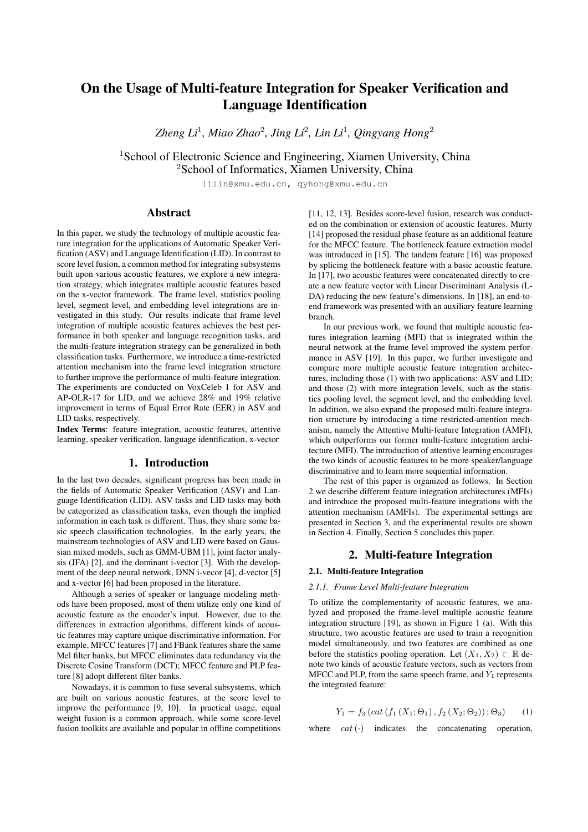# On the Usage of Multi-feature Integration for Speaker Verification and Language Identification

*Zheng Li*<sup>1</sup> *, Miao Zhao*<sup>2</sup> *, Jing Li*<sup>2</sup> *, Lin Li*<sup>1</sup> *, Qingyang Hong*<sup>2</sup>

<sup>1</sup>School of Electronic Science and Engineering, Xiamen University, China <sup>2</sup>School of Informatics, Xiamen University, China

lilin@xmu.edu.cn, qyhong@xmu.edu.cn

# Abstract

In this paper, we study the technology of multiple acoustic feature integration for the applications of Automatic Speaker Verification (ASV) and Language Identification (LID). In contrast to score level fusion, a common method for integrating subsystems built upon various acoustic features, we explore a new integration strategy, which integrates multiple acoustic features based on the x-vector framework. The frame level, statistics pooling level, segment level, and embedding level integrations are investigated in this study. Our results indicate that frame level integration of multiple acoustic features achieves the best performance in both speaker and language recognition tasks, and the multi-feature integration strategy can be generalized in both classification tasks. Furthermore, we introduce a time-restricted attention mechanism into the frame level integration structure to further improve the performance of multi-feature integration. The experiments are conducted on VoxCeleb 1 for ASV and AP-OLR-17 for LID, and we achieve 28% and 19% relative improvement in terms of Equal Error Rate (EER) in ASV and LID tasks, respectively.

Index Terms: feature integration, acoustic features, attentive learning, speaker verification, language identification, x-vector

## 1. Introduction

In the last two decades, significant progress has been made in the fields of Automatic Speaker Verification (ASV) and Language Identification (LID). ASV tasks and LID tasks may both be categorized as classification tasks, even though the implied information in each task is different. Thus, they share some basic speech classification technologies. In the early years, the mainstream technologies of ASV and LID were based on Gaussian mixed models, such as GMM-UBM [1], joint factor analysis (JFA) [2], and the dominant i-vector [3]. With the development of the deep neural network, DNN i-vecor [4], d-vector [5] and x-vector [6] had been proposed in the literature.

Although a series of speaker or language modeling methods have been proposed, most of them utilize only one kind of acoustic feature as the encoder's input. However, due to the differences in extraction algorithms, different kinds of acoustic features may capture unique discriminative information. For example, MFCC features [7] and FBank features share the same Mel filter banks, but MFCC eliminates data redundancy via the Discrete Cosine Transform (DCT); MFCC feature and PLP feature [8] adopt different filter banks.

Nowadays, it is common to fuse several subsystems, which are built on various acoustic features, at the score level to improve the performance [9, 10]. In practical usage, equal weight fusion is a common approach, while some score-level fusion toolkits are available and popular in offline competitions [11, 12, 13]. Besides score-level fusion, research was conducted on the combination or extension of acoustic features. Murty [14] proposed the residual phase feature as an additional feature for the MFCC feature. The bottleneck feature extraction model was introduced in [15]. The tandem feature [16] was proposed by splicing the bottleneck feature with a basic acoustic feature. In [17], two acoustic features were concatenated directly to create a new feature vector with Linear Discriminant Analysis (L-DA) reducing the new feature's dimensions. In [18], an end-toend framework was presented with an auxiliary feature learning branch.

In our previous work, we found that multiple acoustic features integration learning (MFI) that is integrated within the neural network at the frame level improved the system performance in ASV [19]. In this paper, we further investigate and compare more multiple acoustic feature integration architectures, including those (1) with two applications: ASV and LID; and those (2) with more integration levels, such as the statistics pooling level, the segment level, and the embedding level. In addition, we also expand the proposed multi-feature integration structure by introducing a time restricted-attention mechanism, namely the Attentive Multi-feature Integration (AMFI), which outperforms our former multi-feature integration architecture (MFI). The introduction of attentive learning encourages the two kinds of acoustic features to be more speaker/language discriminative and to learn more sequential information.

The rest of this paper is organized as follows. In Section 2 we describe different feature integration architectures (MFIs) and introduce the proposed multi-feature integrations with the attention mechanism (AMFIs). The experimental settings are presented in Section 3, and the experimental results are shown in Section 4. Finally, Section 5 concludes this paper.

# 2. Multi-feature Integration

#### 2.1. Multi-feature Integration

#### *2.1.1. Frame Level Multi-feature Integration*

To utilize the complementarity of acoustic features, we analyzed and proposed the frame-level multiple acoustic feature integration structure [19], as shown in Figure 1 (a). With this structure, two acoustic features are used to train a recognition model simultaneously, and two features are combined as one before the statistics pooling operation. Let  $(X_1, X_2) \subset \mathbb{R}$  denote two kinds of acoustic feature vectors, such as vectors from MFCC and PLP, from the same speech frame, and  $Y_1$  represents the integrated feature:

$$
Y_1 = f_3(cat(f_1(X_1; \Theta_1), f_2(X_2; \Theta_2)); \Theta_3)
$$
 (1)

where  $cat(\cdot)$  indicates the concatenating operation,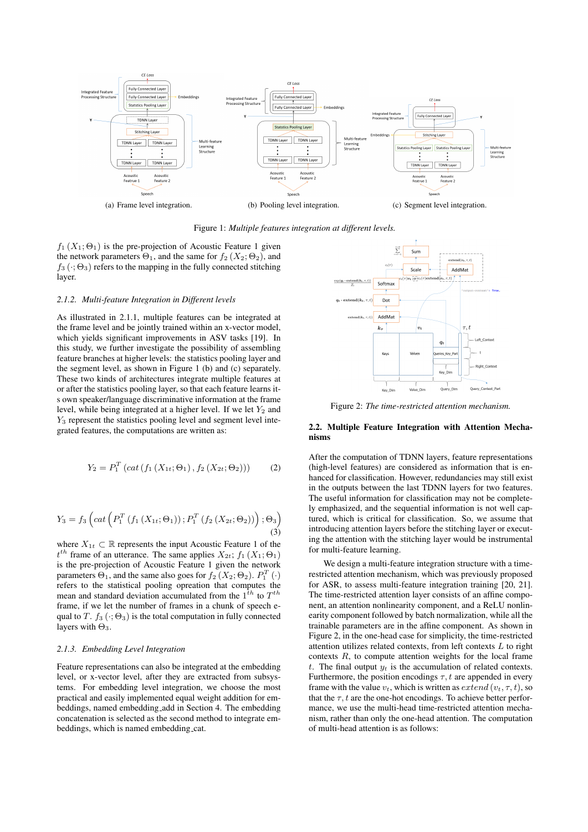

Figure 1: *Multiple features integration at different levels.*

 $f_1(X_1; \Theta_1)$  is the pre-projection of Acoustic Feature 1 given the network parameters  $\Theta_1$ , and the same for  $f_2$  ( $X_2$ ;  $\Theta_2$ ), and  $f_3(\cdot; \Theta_3)$  refers to the mapping in the fully connected stitching layer.

## *2.1.2. Multi-feature Integration in Different levels*

As illustrated in 2.1.1, multiple features can be integrated at the frame level and be jointly trained within an x-vector model, which yields significant improvements in ASV tasks [19]. In this study, we further investigate the possibility of assembling feature branches at higher levels: the statistics pooling layer and the segment level, as shown in Figure 1 (b) and (c) separately. These two kinds of architectures integrate multiple features at or after the statistics pooling layer, so that each feature learns its own speaker/language discriminative information at the frame level, while being integrated at a higher level. If we let  $Y_2$  and Y<sup>3</sup> represent the statistics pooling level and segment level integrated features, the computations are written as:

$$
Y_2 = P_1^T \left( cat \left( f_1 \left( X_{1t}; \Theta_1 \right), f_2 \left( X_{2t}; \Theta_2 \right) \right) \right) \tag{2}
$$

$$
Y_3 = f_3 \left( cat \left( P_1^T \left( f_1 \left( X_{1t} ; \Theta_1 \right) \right) ; P_1^T \left( f_2 \left( X_{2t} ; \Theta_2 \right) \right) \right) ; \Theta_3 \right) \tag{3}
$$

where  $X_{1t} \subset \mathbb{R}$  represents the input Acoustic Feature 1 of the  $t^{th}$  frame of an utterance. The same applies  $X_{2t}$ ;  $f_1(X_1; \Theta_1)$ is the pre-projection of Acoustic Feature 1 given the network parameters  $\Theta_1$ , and the same also goes for  $f_2(X_2; \Theta_2)$ .  $P_1^T(\cdot)$ refers to the statistical pooling opreation that computes the mean and standard deviation accumulated from the  $1^{\bar{t}h}$  to  $T^{th}$ frame, if we let the number of frames in a chunk of speech equal to T.  $f_3(\cdot; \Theta_3)$  is the total computation in fully connected layers with  $\Theta_3$ .

#### *2.1.3. Embedding Level Integration*

Feature representations can also be integrated at the embedding level, or x-vector level, after they are extracted from subsystems. For embedding level integration, we choose the most practical and easily implemented equal weight addition for embeddings, named embedding add in Section 4. The embedding concatenation is selected as the second method to integrate embeddings, which is named embedding\_cat.



Figure 2: *The time-restricted attention mechanism.*

#### 2.2. Multiple Feature Integration with Attention Mechanisms

After the computation of TDNN layers, feature representations (high-level features) are considered as information that is enhanced for classification. However, redundancies may still exist in the outputs between the last TDNN layers for two features. The useful information for classification may not be completely emphasized, and the sequential information is not well captured, which is critical for classification. So, we assume that introducing attention layers before the stitching layer or executing the attention with the stitching layer would be instrumental for multi-feature learning.

We design a multi-feature integration structure with a timerestricted attention mechanism, which was previously proposed for ASR, to assess multi-feature integration training [20, 21]. The time-restricted attention layer consists of an affine component, an attention nonlinearity component, and a ReLU nonlinearity component followed by batch normalization, while all the trainable parameters are in the affine component. As shown in Figure 2, in the one-head case for simplicity, the time-restricted attention utilizes related contexts, from left contexts  $L$  to right contexts  $R$ , to compute attention weights for the local frame t. The final output  $y_t$  is the accumulation of related contexts. Furthermore, the position encodings  $\tau$ , t are appended in every frame with the value  $v_t$ , which is written as  $extend(v_t, \tau, t)$ , so that the  $\tau$ , t are the one-hot encodings. To achieve better performance, we use the multi-head time-restricted attention mechanism, rather than only the one-head attention. The computation of multi-head attention is as follows: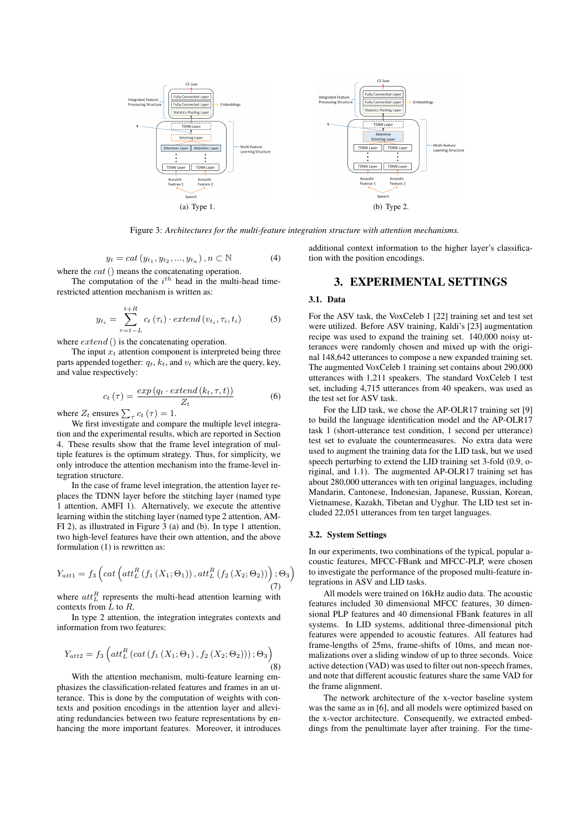

Figure 3: *Architectures for the multi-feature integration structure with attention mechanisms.*

 $y_t = cat(y_{t_1}, y_{t_2}, ..., y_{t_n}), n \in \mathbb{N}$  (4)

where the  $cat()$  means the concatenating operation.

The computation of the  $i^{th}$  head in the multi-head timerestricted attention mechanism is written as:

$$
y_{t_i} = \sum_{\tau=t-L}^{t+R} c_t(\tau_i) \cdot extend(v_{t_i}, \tau_i, t_i)
$$
 (5)

where  $extend()$  is the concatenating operation.

The input  $x_t$  attention component is interpreted being three parts appended together:  $q_t$ ,  $k_t$ , and  $v_t$  which are the query, key, and value respectively:

$$
c_t\left(\tau\right) = \frac{\exp\left(q_t \cdot \text{extend}\left(k_t, \tau, t\right)\right)}{Z_t} \tag{6}
$$

where  $Z_t$  ensures  $\sum_{\tau} c_t(\tau) = 1$ .

We first investigate and compare the multiple level integration and the experimental results, which are reported in Section 4. These results show that the frame level integration of multiple features is the optimum strategy. Thus, for simplicity, we only introduce the attention mechanism into the frame-level integration structure.

In the case of frame level integration, the attention layer replaces the TDNN layer before the stitching layer (named type 1 attention, AMFI 1). Alternatively, we execute the attentive learning within the stitching layer (named type 2 attention, AM-FI 2), as illustrated in Figure 3 (a) and (b). In type 1 attention, two high-level features have their own attention, and the above formulation (1) is rewritten as:

$$
Y_{att1} = f_3 \left( cat \left( att_L^R \left( f_1 \left( X_1; \Theta_1 \right) \right), att_L^R \left( f_2 \left( X_2; \Theta_2 \right) \right) \right); \Theta_3 \right) \tag{7}
$$

where  $att_L^R$  represents the multi-head attention learning with contexts from L to R.

In type 2 attention, the integration integrates contexts and information from two features:

$$
Y_{att2} = f_3 \left( att_L^R \left( cat \left( f_1 \left( X_1; \Theta_1 \right), f_2 \left( X_2; \Theta_2 \right) \right) \right); \Theta_3 \right) \tag{8}
$$

With the attention mechanism, multi-feature learning emphasizes the classification-related features and frames in an utterance. This is done by the computation of weights with contexts and position encodings in the attention layer and alleviating redundancies between two feature representations by enhancing the more important features. Moreover, it introduces additional context information to the higher layer's classification with the position encodings.

# 3. EXPERIMENTAL SETTINGS

## 3.1. Data

For the ASV task, the VoxCeleb 1 [22] training set and test set were utilized. Before ASV training, Kaldi's [23] augmentation recipe was used to expand the training set. 140,000 noisy utterances were randomly chosen and mixed up with the original 148,642 utterances to compose a new expanded training set. The augmented VoxCeleb 1 training set contains about 290,000 utterances with 1,211 speakers. The standard VoxCeleb 1 test set, including 4,715 utterances from 40 speakers, was used as the test set for ASV task.

For the LID task, we chose the AP-OLR17 training set [9] to build the language identification model and the AP-OLR17 task 1 (short-utterance test condition, 1 second per utterance) test set to evaluate the countermeasures. No extra data were used to augment the training data for the LID task, but we used speech perturbing to extend the LID training set 3-fold (0.9, original, and 1.1). The augmented AP-OLR17 training set has about 280,000 utterances with ten original languages, including Mandarin, Cantonese, Indonesian, Japanese, Russian, Korean, Vietnamese, Kazakh, Tibetan and Uyghur. The LID test set included 22,051 utterances from ten target languages.

## 3.2. System Settings

In our experiments, two combinations of the typical, popular acoustic features, MFCC-FBank and MFCC-PLP, were chosen to investigate the performance of the proposed multi-feature integrations in ASV and LID tasks.

All models were trained on 16kHz audio data. The acoustic features included 30 dimensional MFCC features, 30 dimensional PLP features and 40 dimensional FBank features in all systems. In LID systems, additional three-dimensional pitch features were appended to acoustic features. All features had frame-lengths of 25ms, frame-shifts of 10ms, and mean normalizations over a sliding window of up to three seconds. Voice active detection (VAD) was used to filter out non-speech frames, and note that different acoustic features share the same VAD for the frame alignment.

The network architecture of the x-vector baseline system was the same as in [6], and all models were optimized based on the x-vector architecture. Consequently, we extracted embeddings from the penultimate layer after training. For the time-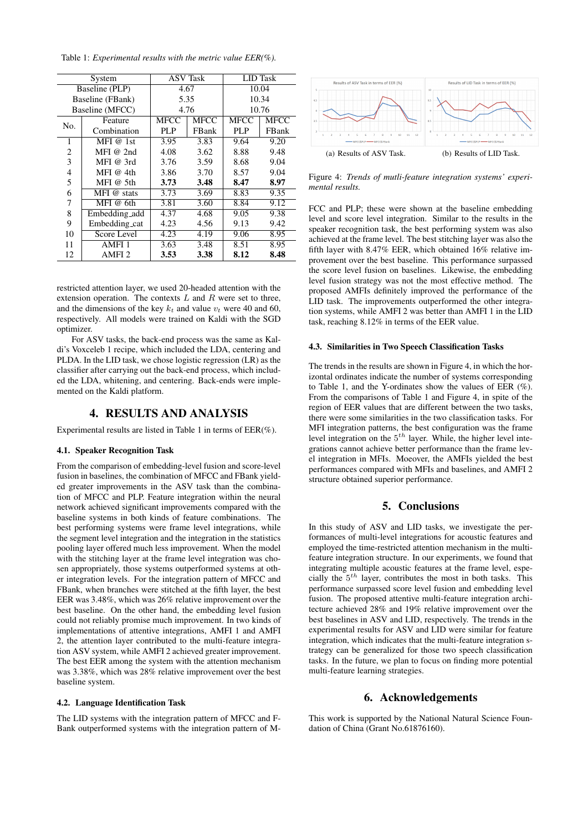Table 1: *Experimental results with the metric value EER(%).*

| System           |                   | <b>ASV</b> Task |       | <b>LID</b> Task |             |
|------------------|-------------------|-----------------|-------|-----------------|-------------|
| Baseline (PLP)   |                   | 4.67            |       | 10.04           |             |
| Baseline (FBank) |                   | 5.35            |       | 10.34           |             |
| Baseline (MFCC)  |                   | 4.76            |       | 10.76           |             |
| No.              | Feature           | <b>MFCC</b>     | MFCC  | <b>MFCC</b>     | <b>MFCC</b> |
|                  | Combination       | PLP             | FBank | PLP             | FBank       |
| 1                | MFI $@$ 1st       | 3.95            | 3.83  | 9.64            | 9.20        |
| 2                | MFI $@$ 2nd       | 4.08            | 3.62  | 8.88            | 9.48        |
| 3                | MFI $@$ 3rd       | 3.76            | 3.59  | 8.68            | 9.04        |
| 4                | MFI $@$ 4th       | 3.86            | 3.70  | 8.57            | 9.04        |
| 5                | MFI $@$ 5th       | 3.73            | 3.48  | 8.47            | 8.97        |
| 6                | MFI @ stats       | 3.73            | 3.69  | 8.83            | 9.35        |
| 7                | MFI @ 6th         | 3.81            | 3.60  | 8.84            | 9.12        |
| 8                | Embedding_add     | 4.37            | 4.68  | 9.05            | 9.38        |
| 9                | Embedding_cat     | 4.23            | 4.56  | 9.13            | 9.42        |
| 10               | Score Level       | 4.23            | 4.19  | 9.06            | 8.95        |
| 11               | AMFI <sub>1</sub> | 3.63            | 3.48  | 8.51            | 8.95        |
| 12               | AMFI <sub>2</sub> | 3.53            | 3.38  | 8.12            | 8.48        |
|                  |                   |                 |       |                 |             |

restricted attention layer, we used 20-headed attention with the extension operation. The contexts  $L$  and  $R$  were set to three, and the dimensions of the key  $k_t$  and value  $v_t$  were 40 and 60, respectively. All models were trained on Kaldi with the SGD optimizer.

For ASV tasks, the back-end process was the same as Kaldi's Voxceleb 1 recipe, which included the LDA, centering and PLDA. In the LID task, we chose logistic regression (LR) as the classifier after carrying out the back-end process, which included the LDA, whitening, and centering. Back-ends were implemented on the Kaldi platform.

## 4. RESULTS AND ANALYSIS

Experimental results are listed in Table 1 in terms of  $EER(\%)$ .

#### 4.1. Speaker Recognition Task

From the comparison of embedding-level fusion and score-level fusion in baselines, the combination of MFCC and FBank yielded greater improvements in the ASV task than the combination of MFCC and PLP. Feature integration within the neural network achieved significant improvements compared with the baseline systems in both kinds of feature combinations. The best performing systems were frame level integrations, while the segment level integration and the integration in the statistics pooling layer offered much less improvement. When the model with the stitching layer at the frame level integration was chosen appropriately, those systems outperformed systems at other integration levels. For the integration pattern of MFCC and FBank, when branches were stitched at the fifth layer, the best EER was 3.48%, which was 26% relative improvement over the best baseline. On the other hand, the embedding level fusion could not reliably promise much improvement. In two kinds of implementations of attentive integrations, AMFI 1 and AMFI 2, the attention layer contributed to the multi-feature integration ASV system, while AMFI 2 achieved greater improvement. The best EER among the system with the attention mechanism was 3.38%, which was 28% relative improvement over the best baseline system.

#### 4.2. Language Identification Task

The LID systems with the integration pattern of MFCC and F-Bank outperformed systems with the integration pattern of M-



Figure 4: *Trends of mutli-feature integration systems' experimental results.*

FCC and PLP; these were shown at the baseline embedding level and score level integration. Similar to the results in the speaker recognition task, the best performing system was also achieved at the frame level. The best stitching layer was also the fifth layer with 8.47% EER, which obtained 16% relative improvement over the best baseline. This performance surpassed the score level fusion on baselines. Likewise, the embedding level fusion strategy was not the most effective method. The proposed AMFIs definitely improved the performance of the LID task. The improvements outperformed the other integration systems, while AMFI 2 was better than AMFI 1 in the LID task, reaching 8.12% in terms of the EER value.

#### 4.3. Similarities in Two Speech Classification Tasks

The trends in the results are shown in Figure 4, in which the horizontal ordinates indicate the number of systems corresponding to Table 1, and the Y-ordinates show the values of EER (%). From the comparisons of Table 1 and Figure 4, in spite of the region of EER values that are different between the two tasks, there were some similarities in the two classification tasks. For MFI integration patterns, the best configuration was the frame level integration on the  $5<sup>th</sup>$  layer. While, the higher level integrations cannot achieve better performance than the frame level integration in MFIs. Moeover, the AMFIs yielded the best performances compared with MFIs and baselines, and AMFI 2 structure obtained superior performance.

# 5. Conclusions

In this study of ASV and LID tasks, we investigate the performances of multi-level integrations for acoustic features and employed the time-restricted attention mechanism in the multifeature integration structure. In our experiments, we found that integrating multiple acoustic features at the frame level, especially the  $5<sup>th</sup>$  layer, contributes the most in both tasks. This performance surpassed score level fusion and embedding level fusion. The proposed attentive multi-feature integration architecture achieved 28% and 19% relative improvement over the best baselines in ASV and LID, respectively. The trends in the experimental results for ASV and LID were similar for feature integration, which indicates that the multi-feature integration strategy can be generalized for those two speech classification tasks. In the future, we plan to focus on finding more potential multi-feature learning strategies.

# 6. Acknowledgements

This work is supported by the National Natural Science Foundation of China (Grant No.61876160).